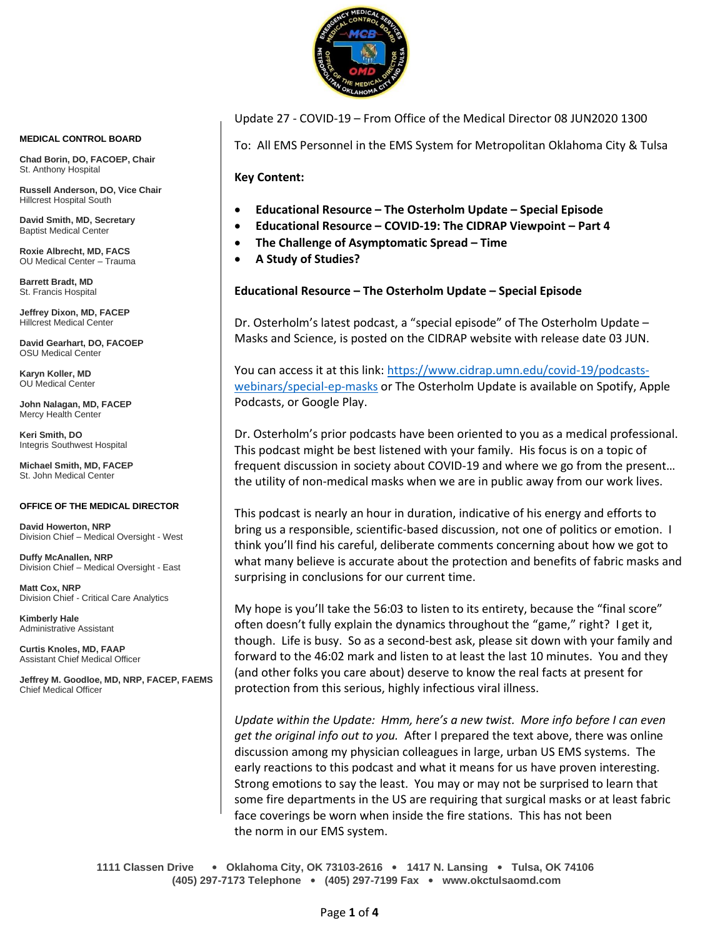

**MEDICAL CONTROL BOARD**

**Chad Borin, DO, FACOEP, Chair**  St. Anthony Hospital

**Russell Anderson, DO, Vice Chair** Hillcrest Hospital South

**David Smith, MD, Secretary** Baptist Medical Center

**Roxie Albrecht, MD, FACS** OU Medical Center – Trauma

**Barrett Bradt, MD** St. Francis Hospital

**Jeffrey Dixon, MD, FACEP** Hillcrest Medical Center

**David Gearhart, DO, FACOEP** OSU Medical Center

**Karyn Koller, MD** OU Medical Center

**John Nalagan, MD, FACEP** Mercy Health Center

**Keri Smith, DO** Integris Southwest Hospital

**Michael Smith, MD, FACEP** St. John Medical Center

#### **OFFICE OF THE MEDICAL DIRECTOR**

**David Howerton, NRP** Division Chief – Medical Oversight - West

**Duffy McAnallen, NRP** Division Chief – Medical Oversight - East

**Matt Cox, NRP** Division Chief - Critical Care Analytics

**Kimberly Hale** Administrative Assistant

**Curtis Knoles, MD, FAAP** Assistant Chief Medical Officer

**Jeffrey M. Goodloe, MD, NRP, FACEP, FAEMS** Chief Medical Officer

Update 27 - COVID-19 – From Office of the Medical Director 08 JUN2020 1300

To: All EMS Personnel in the EMS System for Metropolitan Oklahoma City & Tulsa

**Key Content:**

- **Educational Resource – The Osterholm Update – Special Episode**
- **Educational Resource – COVID-19: The CIDRAP Viewpoint – Part 4**
- **The Challenge of Asymptomatic Spread – Time**
- **A Study of Studies?**

#### **Educational Resource – The Osterholm Update – Special Episode**

Dr. Osterholm's latest podcast, a "special episode" of The Osterholm Update – Masks and Science, is posted on the CIDRAP website with release date 03 JUN.

You can access it at this link: [https://www.cidrap.umn.edu/covid-19/podcasts](https://www.cidrap.umn.edu/covid-19/podcasts-webinars/special-ep-masks)[webinars/special-ep-masks](https://www.cidrap.umn.edu/covid-19/podcasts-webinars/special-ep-masks) or The Osterholm Update is available on Spotify, Apple Podcasts, or Google Play.

Dr. Osterholm's prior podcasts have been oriented to you as a medical professional. This podcast might be best listened with your family. His focus is on a topic of frequent discussion in society about COVID-19 and where we go from the present… the utility of non-medical masks when we are in public away from our work lives.

This podcast is nearly an hour in duration, indicative of his energy and efforts to bring us a responsible, scientific-based discussion, not one of politics or emotion. I think you'll find his careful, deliberate comments concerning about how we got to what many believe is accurate about the protection and benefits of fabric masks and surprising in conclusions for our current time.

My hope is you'll take the 56:03 to listen to its entirety, because the "final score" often doesn't fully explain the dynamics throughout the "game," right? I get it, though. Life is busy. So as a second-best ask, please sit down with your family and forward to the 46:02 mark and listen to at least the last 10 minutes. You and they (and other folks you care about) deserve to know the real facts at present for protection from this serious, highly infectious viral illness.

*Update within the Update: Hmm, here's a new twist. More info before I can even get the original info out to you.* After I prepared the text above, there was online discussion among my physician colleagues in large, urban US EMS systems. The early reactions to this podcast and what it means for us have proven interesting. Strong emotions to say the least. You may or may not be surprised to learn that some fire departments in the US are requiring that surgical masks or at least fabric face coverings be worn when inside the fire stations. This has not been the norm in our EMS system.

**1111 Classen Drive** • **Oklahoma City, OK 73103-2616** • **1417 N. Lansing** • **Tulsa, OK 74106 (405) 297-7173 Telephone** • **(405) 297-7199 Fax** • **www.okctulsaomd.com**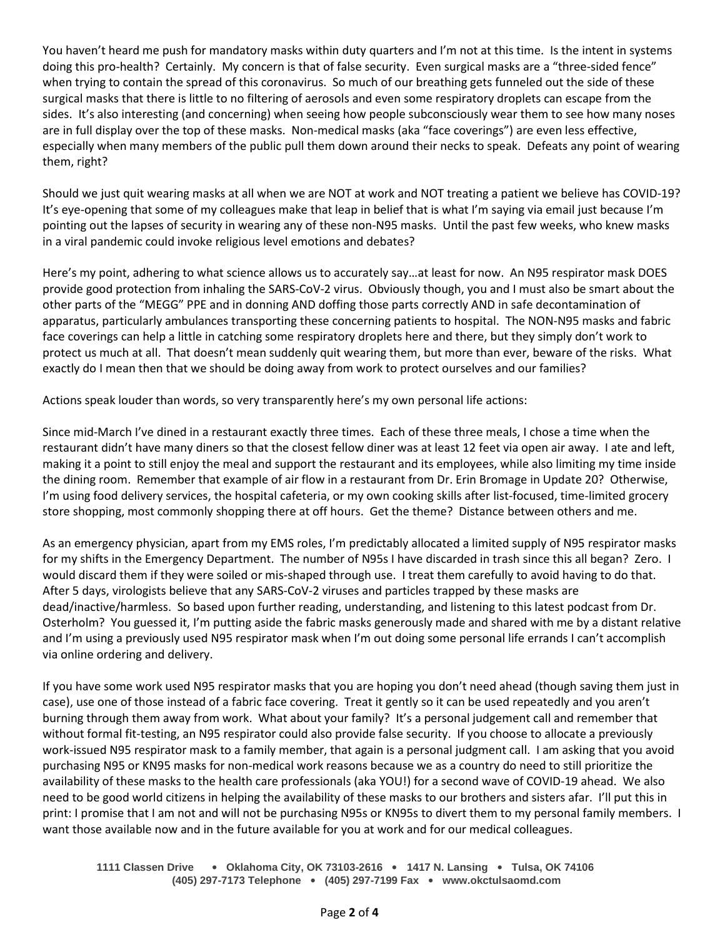You haven't heard me push for mandatory masks within duty quarters and I'm not at this time. Is the intent in systems doing this pro-health? Certainly. My concern is that of false security. Even surgical masks are a "three-sided fence" when trying to contain the spread of this coronavirus. So much of our breathing gets funneled out the side of these surgical masks that there is little to no filtering of aerosols and even some respiratory droplets can escape from the sides. It's also interesting (and concerning) when seeing how people subconsciously wear them to see how many noses are in full display over the top of these masks. Non-medical masks (aka "face coverings") are even less effective, especially when many members of the public pull them down around their necks to speak. Defeats any point of wearing them, right?

Should we just quit wearing masks at all when we are NOT at work and NOT treating a patient we believe has COVID-19? It's eye-opening that some of my colleagues make that leap in belief that is what I'm saying via email just because I'm pointing out the lapses of security in wearing any of these non-N95 masks. Until the past few weeks, who knew masks in a viral pandemic could invoke religious level emotions and debates?

Here's my point, adhering to what science allows us to accurately say…at least for now. An N95 respirator mask DOES provide good protection from inhaling the SARS-CoV-2 virus. Obviously though, you and I must also be smart about the other parts of the "MEGG" PPE and in donning AND doffing those parts correctly AND in safe decontamination of apparatus, particularly ambulances transporting these concerning patients to hospital. The NON-N95 masks and fabric face coverings can help a little in catching some respiratory droplets here and there, but they simply don't work to protect us much at all. That doesn't mean suddenly quit wearing them, but more than ever, beware of the risks. What exactly do I mean then that we should be doing away from work to protect ourselves and our families?

Actions speak louder than words, so very transparently here's my own personal life actions:

Since mid-March I've dined in a restaurant exactly three times. Each of these three meals, I chose a time when the restaurant didn't have many diners so that the closest fellow diner was at least 12 feet via open air away. I ate and left, making it a point to still enjoy the meal and support the restaurant and its employees, while also limiting my time inside the dining room. Remember that example of air flow in a restaurant from Dr. Erin Bromage in Update 20? Otherwise, I'm using food delivery services, the hospital cafeteria, or my own cooking skills after list-focused, time-limited grocery store shopping, most commonly shopping there at off hours. Get the theme? Distance between others and me.

As an emergency physician, apart from my EMS roles, I'm predictably allocated a limited supply of N95 respirator masks for my shifts in the Emergency Department. The number of N95s I have discarded in trash since this all began? Zero. I would discard them if they were soiled or mis-shaped through use. I treat them carefully to avoid having to do that. After 5 days, virologists believe that any SARS-CoV-2 viruses and particles trapped by these masks are dead/inactive/harmless. So based upon further reading, understanding, and listening to this latest podcast from Dr. Osterholm? You guessed it, I'm putting aside the fabric masks generously made and shared with me by a distant relative and I'm using a previously used N95 respirator mask when I'm out doing some personal life errands I can't accomplish via online ordering and delivery.

If you have some work used N95 respirator masks that you are hoping you don't need ahead (though saving them just in case), use one of those instead of a fabric face covering. Treat it gently so it can be used repeatedly and you aren't burning through them away from work. What about your family? It's a personal judgement call and remember that without formal fit-testing, an N95 respirator could also provide false security. If you choose to allocate a previously work-issued N95 respirator mask to a family member, that again is a personal judgment call. I am asking that you avoid purchasing N95 or KN95 masks for non-medical work reasons because we as a country do need to still prioritize the availability of these masks to the health care professionals (aka YOU!) for a second wave of COVID-19 ahead. We also need to be good world citizens in helping the availability of these masks to our brothers and sisters afar. I'll put this in print: I promise that I am not and will not be purchasing N95s or KN95s to divert them to my personal family members. I want those available now and in the future available for you at work and for our medical colleagues.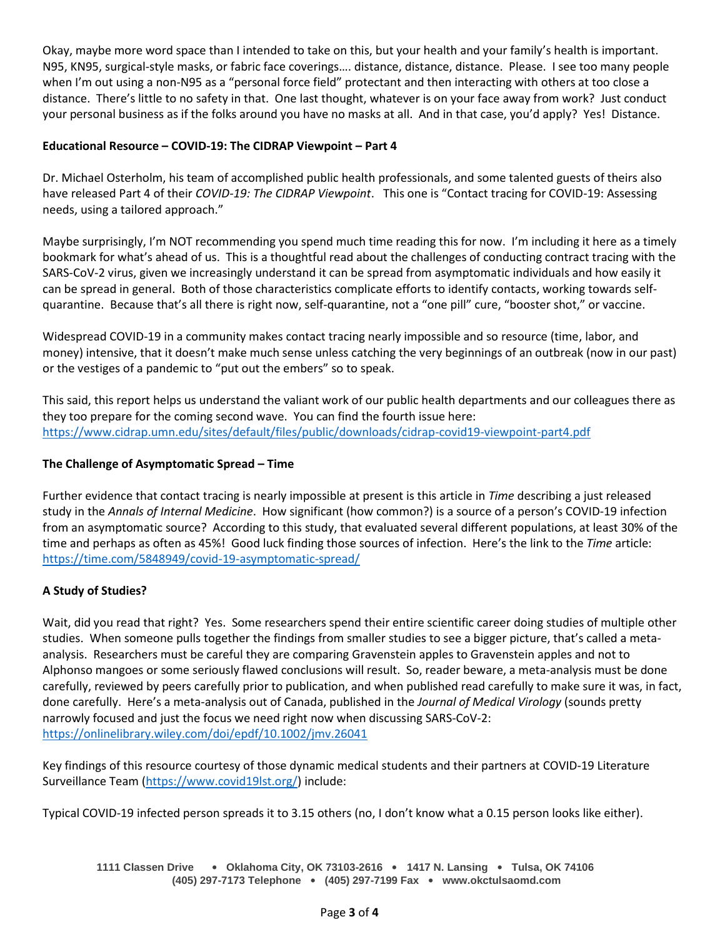Okay, maybe more word space than I intended to take on this, but your health and your family's health is important. N95, KN95, surgical-style masks, or fabric face coverings…. distance, distance, distance. Please. I see too many people when I'm out using a non-N95 as a "personal force field" protectant and then interacting with others at too close a distance. There's little to no safety in that. One last thought, whatever is on your face away from work? Just conduct your personal business as if the folks around you have no masks at all. And in that case, you'd apply? Yes! Distance.

## **Educational Resource – COVID-19: The CIDRAP Viewpoint – Part 4**

Dr. Michael Osterholm, his team of accomplished public health professionals, and some talented guests of theirs also have released Part 4 of their *COVID-19: The CIDRAP Viewpoint*. This one is "Contact tracing for COVID-19: Assessing needs, using a tailored approach."

Maybe surprisingly, I'm NOT recommending you spend much time reading this for now. I'm including it here as a timely bookmark for what's ahead of us. This is a thoughtful read about the challenges of conducting contract tracing with the SARS-CoV-2 virus, given we increasingly understand it can be spread from asymptomatic individuals and how easily it can be spread in general. Both of those characteristics complicate efforts to identify contacts, working towards selfquarantine. Because that's all there is right now, self-quarantine, not a "one pill" cure, "booster shot," or vaccine.

Widespread COVID-19 in a community makes contact tracing nearly impossible and so resource (time, labor, and money) intensive, that it doesn't make much sense unless catching the very beginnings of an outbreak (now in our past) or the vestiges of a pandemic to "put out the embers" so to speak.

This said, this report helps us understand the valiant work of our public health departments and our colleagues there as they too prepare for the coming second wave. You can find the fourth issue here: <https://www.cidrap.umn.edu/sites/default/files/public/downloads/cidrap-covid19-viewpoint-part4.pdf>

### **The Challenge of Asymptomatic Spread – Time**

Further evidence that contact tracing is nearly impossible at present is this article in *Time* describing a just released study in the *Annals of Internal Medicine*. How significant (how common?) is a source of a person's COVID-19 infection from an asymptomatic source? According to this study, that evaluated several different populations, at least 30% of the time and perhaps as often as 45%! Good luck finding those sources of infection. Here's the link to the *Time* article: <https://time.com/5848949/covid-19-asymptomatic-spread/>

# **A Study of Studies?**

Wait, did you read that right? Yes. Some researchers spend their entire scientific career doing studies of multiple other studies. When someone pulls together the findings from smaller studies to see a bigger picture, that's called a metaanalysis. Researchers must be careful they are comparing Gravenstein apples to Gravenstein apples and not to Alphonso mangoes or some seriously flawed conclusions will result. So, reader beware, a meta-analysis must be done carefully, reviewed by peers carefully prior to publication, and when published read carefully to make sure it was, in fact, done carefully. Here's a meta-analysis out of Canada, published in the *Journal of Medical Virology* (sounds pretty narrowly focused and just the focus we need right now when discussing SARS-CoV-2: <https://onlinelibrary.wiley.com/doi/epdf/10.1002/jmv.26041>

Key findings of this resource courtesy of those dynamic medical students and their partners at COVID-19 Literature Surveillance Team [\(https://www.covid19lst.org/\)](https://www.covid19lst.org/) include:

Typical COVID-19 infected person spreads it to 3.15 others (no, I don't know what a 0.15 person looks like either).